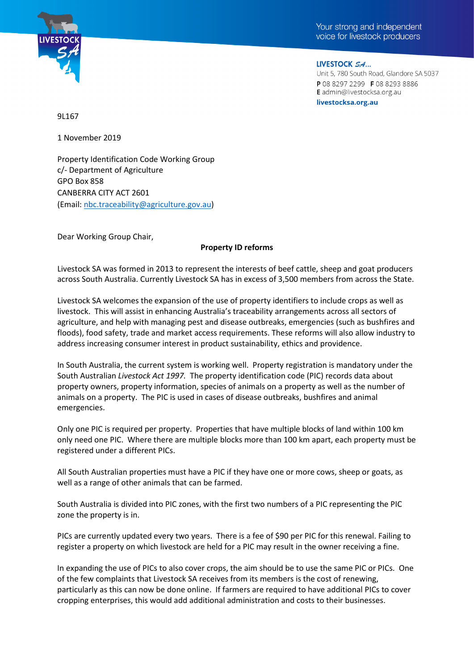



LIVESTOCK SA... Unit 5, 780 South Road, Glandore SA 5037 P 08 8297 2299 F 08 8293 8886 E admin@livestocksa.org.au livestocksa.org.au

9L167

1 November 2019

Property Identification Code Working Group c/- Department of Agriculture GPO Box 858 CANBERRA CITY ACT 2601 (Email: [nbc.traceability@agriculture.gov.au\)](mailto:nbc.traceability@agriculture.gov.au)

Dear Working Group Chair,

## **Property ID reforms**

Livestock SA was formed in 2013 to represent the interests of beef cattle, sheep and goat producers across South Australia. Currently Livestock SA has in excess of 3,500 members from across the State.

Livestock SA welcomes the expansion of the use of property identifiers to include crops as well as livestock. This will assist in enhancing Australia's traceability arrangements across all sectors of agriculture, and help with managing pest and disease outbreaks, emergencies (such as bushfires and floods), food safety, trade and market access requirements. These reforms will also allow industry to address increasing consumer interest in product sustainability, ethics and providence.

In South Australia, the current system is working well. Property registration is mandatory under the South Australian *Livestock Act 1997.* The property identification code (PIC) records data about property owners, property information, species of animals on a property as well as the number of animals on a property. The PIC is used in cases of disease outbreaks, bushfires and animal emergencies.

Only one PIC is required per property. Properties that have multiple blocks of land within 100 km only need one PIC. Where there are multiple blocks more than 100 km apart, each property must be registered under a different PICs.

All South Australian properties must have a PIC if they have one or more cows, sheep or goats, as well as a range of other animals that can be farmed.

South Australia is divided into PIC zones, with the first two numbers of a PIC representing the PIC zone the property is in.

PICs are currently updated every two years. There is a fee of \$90 per PIC for this renewal. Failing to register a property on which livestock are held for a PIC may result in the owner receiving a fine.

In expanding the use of PICs to also cover crops, the aim should be to use the same PIC or PICs. One of the few complaints that Livestock SA receives from its members is the cost of renewing, particularly as this can now be done online. If farmers are required to have additional PICs to cover cropping enterprises, this would add additional administration and costs to their businesses.